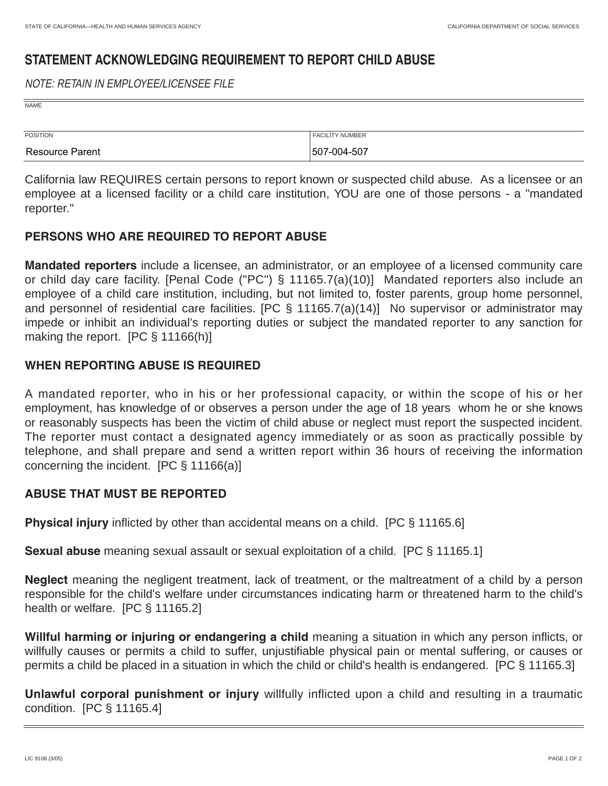NAME

# **STATEMENT ACKNOWLEDGING REQUIREMENT TO REPORT CHILD ABUSE**

### NOTE: RETAIN IN EMPLOYEE/LICENSEE FILE

| POSITION | <b>FACILITY NUMBER</b> |
|----------|------------------------|
|          |                        |

California law REQUIRES certain persons to report known or suspected child abuse. As a licensee or an employee at a licensed facility or a child care institution, YOU are one of those persons - a "mandated reporter."

# **PERSONS WHO ARE REQUIRED TO REPORT ABUSE**

**Mandated reporters** include a licensee, an administrator, or an employee of a licensed community care or child day care facility. [Penal Code ("PC") § 11165.7(a)(10)] Mandated reporters also include an employee of a child care institution, including, but not limited to, foster parents, group home personnel, and personnel of residential care facilities. [PC § 11165.7(a)(14)] No supervisor or administrator may impede or inhibit an individual's reporting duties or subject the mandated reporter to any sanction for making the report. [PC § 11166(h)]

# **WHEN REPORTING ABUSE IS REQUIRED**

A mandated reporter, who in his or her professional capacity, or within the scope of his or her employment, has knowledge of or observes a person under the age of 18 years whom he or she knows or reasonably suspects has been the victim of child abuse or neglect must report the suspected incident. The reporter must contact a designated agency immediately or as soon as practically possible by telephone, and shall prepare and send a written report within 36 hours of receiving the information concerning the incident. [PC § 11166(a)]

# **ABUSE THAT MUST BE REPORTED**

**Physical injury** inflicted by other than accidental means on a child. [PC § 11165.6]

**Sexual abuse** meaning sexual assault or sexual exploitation of a child. [PC § 11165.1]

**Neglect** meaning the negligent treatment, lack of treatment, or the maltreatment of a child by a person responsible for the child's welfare under circumstances indicating harm or threatened harm to the child's health or welfare. [PC § 11165.2]

**Willful harming or injuring or endangering a child** meaning a situation in which any person inflicts, or willfully causes or permits a child to suffer, unjustifiable physical pain or mental suffering, or causes or permits a child be placed in a situation in which the child or child's health is endangered. [PC § 11165.3]

**Unlawful corporal punishment or injury** willfully inflicted upon a child and resulting in a traumatic condition. [PC § 11165.4]